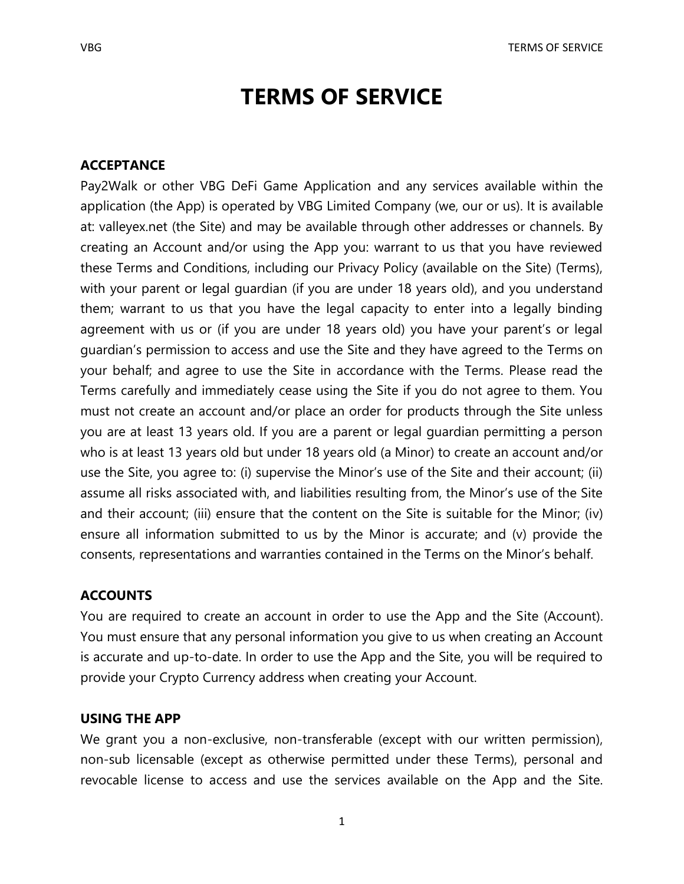# **TERMS OF SERVICE**

# **ACCEPTANCE**

Pay2Walk or other VBG DeFi Game Application and any services available within the application (the App) is operated by VBG Limited Company (we, our or us). It is available at: valleyex.net (the Site) and may be available through other addresses or channels. By creating an Account and/or using the App you: warrant to us that you have reviewed these Terms and Conditions, including our Privacy Policy (available on the Site) (Terms), with your parent or legal guardian (if you are under 18 years old), and you understand them; warrant to us that you have the legal capacity to enter into a legally binding agreement with us or (if you are under 18 years old) you have your parent's or legal guardian's permission to access and use the Site and they have agreed to the Terms on your behalf; and agree to use the Site in accordance with the Terms. Please read the Terms carefully and immediately cease using the Site if you do not agree to them. You must not create an account and/or place an order for products through the Site unless you are at least 13 years old. If you are a parent or legal guardian permitting a person who is at least 13 years old but under 18 years old (a Minor) to create an account and/or use the Site, you agree to: (i) supervise the Minor's use of the Site and their account; (ii) assume all risks associated with, and liabilities resulting from, the Minor's use of the Site and their account; (iii) ensure that the content on the Site is suitable for the Minor; (iv) ensure all information submitted to us by the Minor is accurate; and (v) provide the consents, representations and warranties contained in the Terms on the Minor's behalf.

# **ACCOUNTS**

You are required to create an account in order to use the App and the Site (Account). You must ensure that any personal information you give to us when creating an Account is accurate and up-to-date. In order to use the App and the Site, you will be required to provide your Crypto Currency address when creating your Account.

## **USING THE APP**

We grant you a non-exclusive, non-transferable (except with our written permission), non-sub licensable (except as otherwise permitted under these Terms), personal and revocable license to access and use the services available on the App and the Site.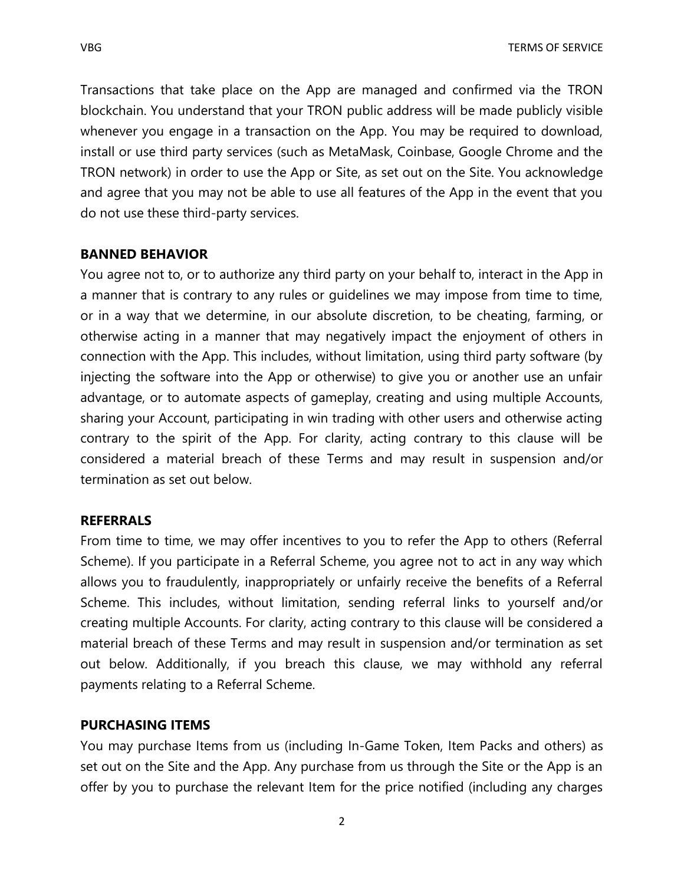Transactions that take place on the App are managed and confirmed via the TRON blockchain. You understand that your TRON public address will be made publicly visible whenever you engage in a transaction on the App. You may be required to download, install or use third party services (such as MetaMask, Coinbase, Google Chrome and the TRON network) in order to use the App or Site, as set out on the Site. You acknowledge and agree that you may not be able to use all features of the App in the event that you do not use these third-party services.

# **BANNED BEHAVIOR**

You agree not to, or to authorize any third party on your behalf to, interact in the App in a manner that is contrary to any rules or guidelines we may impose from time to time, or in a way that we determine, in our absolute discretion, to be cheating, farming, or otherwise acting in a manner that may negatively impact the enjoyment of others in connection with the App. This includes, without limitation, using third party software (by injecting the software into the App or otherwise) to give you or another use an unfair advantage, or to automate aspects of gameplay, creating and using multiple Accounts, sharing your Account, participating in win trading with other users and otherwise acting contrary to the spirit of the App. For clarity, acting contrary to this clause will be considered a material breach of these Terms and may result in suspension and/or termination as set out below.

# **REFERRALS**

From time to time, we may offer incentives to you to refer the App to others (Referral Scheme). If you participate in a Referral Scheme, you agree not to act in any way which allows you to fraudulently, inappropriately or unfairly receive the benefits of a Referral Scheme. This includes, without limitation, sending referral links to yourself and/or creating multiple Accounts. For clarity, acting contrary to this clause will be considered a material breach of these Terms and may result in suspension and/or termination as set out below. Additionally, if you breach this clause, we may withhold any referral payments relating to a Referral Scheme.

# **PURCHASING ITEMS**

You may purchase Items from us (including In-Game Token, Item Packs and others) as set out on the Site and the App. Any purchase from us through the Site or the App is an offer by you to purchase the relevant Item for the price notified (including any charges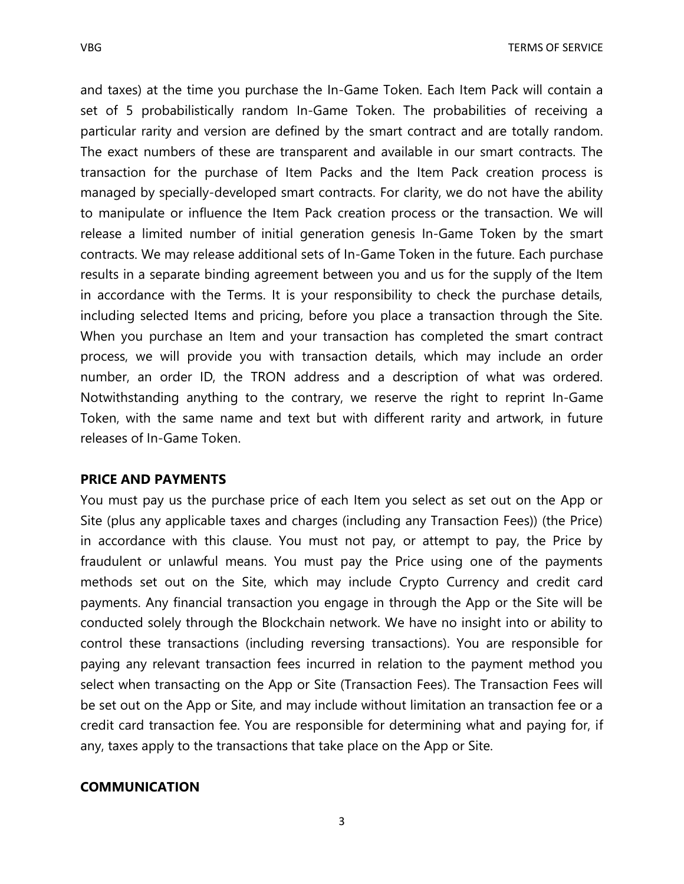and taxes) at the time you purchase the In-Game Token. Each Item Pack will contain a set of 5 probabilistically random In-Game Token. The probabilities of receiving a particular rarity and version are defined by the smart contract and are totally random. The exact numbers of these are transparent and available in our smart contracts. The transaction for the purchase of Item Packs and the Item Pack creation process is managed by specially-developed smart contracts. For clarity, we do not have the ability to manipulate or influence the Item Pack creation process or the transaction. We will release a limited number of initial generation genesis In-Game Token by the smart contracts. We may release additional sets of In-Game Token in the future. Each purchase results in a separate binding agreement between you and us for the supply of the Item in accordance with the Terms. It is your responsibility to check the purchase details, including selected Items and pricing, before you place a transaction through the Site. When you purchase an Item and your transaction has completed the smart contract process, we will provide you with transaction details, which may include an order number, an order ID, the TRON address and a description of what was ordered. Notwithstanding anything to the contrary, we reserve the right to reprint In-Game Token, with the same name and text but with different rarity and artwork, in future releases of In-Game Token.

#### **PRICE AND PAYMENTS**

You must pay us the purchase price of each Item you select as set out on the App or Site (plus any applicable taxes and charges (including any Transaction Fees)) (the Price) in accordance with this clause. You must not pay, or attempt to pay, the Price by fraudulent or unlawful means. You must pay the Price using one of the payments methods set out on the Site, which may include Crypto Currency and credit card payments. Any financial transaction you engage in through the App or the Site will be conducted solely through the Blockchain network. We have no insight into or ability to control these transactions (including reversing transactions). You are responsible for paying any relevant transaction fees incurred in relation to the payment method you select when transacting on the App or Site (Transaction Fees). The Transaction Fees will be set out on the App or Site, and may include without limitation an transaction fee or a credit card transaction fee. You are responsible for determining what and paying for, if any, taxes apply to the transactions that take place on the App or Site.

## **COMMUNICATION**

3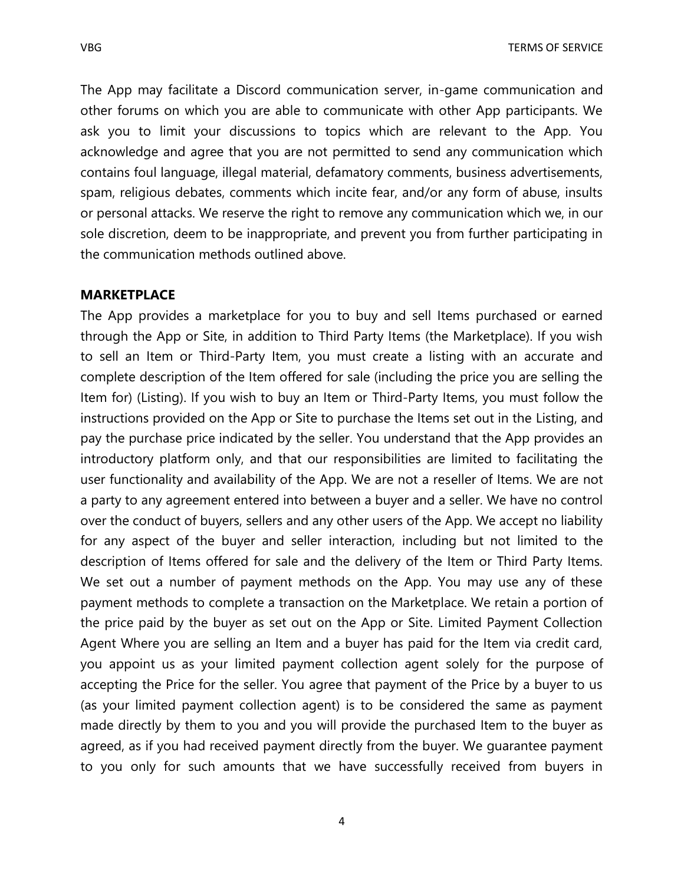The App may facilitate a Discord communication server, in-game communication and other forums on which you are able to communicate with other App participants. We ask you to limit your discussions to topics which are relevant to the App. You acknowledge and agree that you are not permitted to send any communication which contains foul language, illegal material, defamatory comments, business advertisements, spam, religious debates, comments which incite fear, and/or any form of abuse, insults or personal attacks. We reserve the right to remove any communication which we, in our sole discretion, deem to be inappropriate, and prevent you from further participating in the communication methods outlined above.

# **MARKETPLACE**

The App provides a marketplace for you to buy and sell Items purchased or earned through the App or Site, in addition to Third Party Items (the Marketplace). If you wish to sell an Item or Third-Party Item, you must create a listing with an accurate and complete description of the Item offered for sale (including the price you are selling the Item for) (Listing). If you wish to buy an Item or Third-Party Items, you must follow the instructions provided on the App or Site to purchase the Items set out in the Listing, and pay the purchase price indicated by the seller. You understand that the App provides an introductory platform only, and that our responsibilities are limited to facilitating the user functionality and availability of the App. We are not a reseller of Items. We are not a party to any agreement entered into between a buyer and a seller. We have no control over the conduct of buyers, sellers and any other users of the App. We accept no liability for any aspect of the buyer and seller interaction, including but not limited to the description of Items offered for sale and the delivery of the Item or Third Party Items. We set out a number of payment methods on the App. You may use any of these payment methods to complete a transaction on the Marketplace. We retain a portion of the price paid by the buyer as set out on the App or Site. Limited Payment Collection Agent Where you are selling an Item and a buyer has paid for the Item via credit card, you appoint us as your limited payment collection agent solely for the purpose of accepting the Price for the seller. You agree that payment of the Price by a buyer to us (as your limited payment collection agent) is to be considered the same as payment made directly by them to you and you will provide the purchased Item to the buyer as agreed, as if you had received payment directly from the buyer. We guarantee payment to you only for such amounts that we have successfully received from buyers in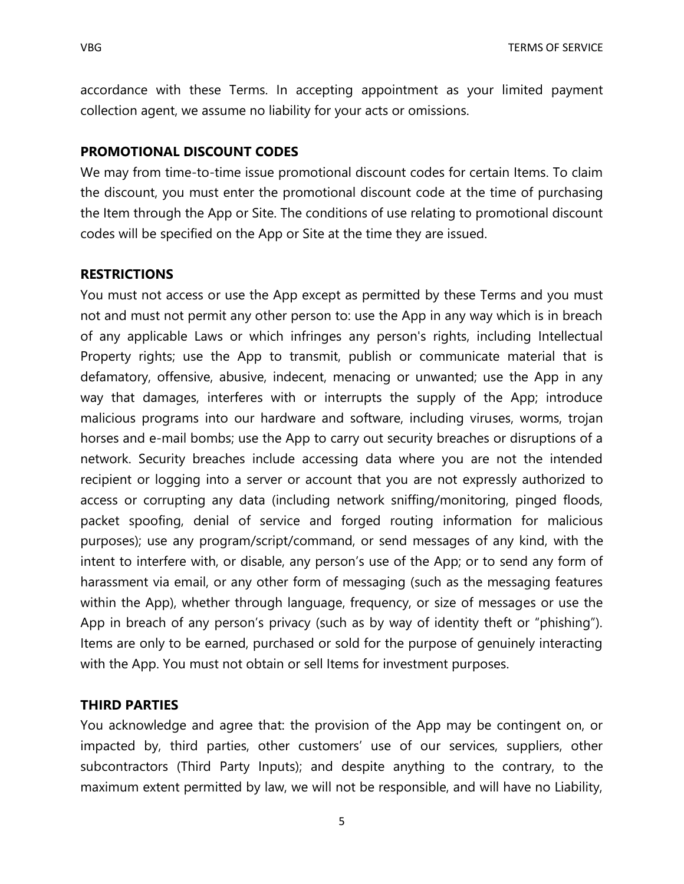accordance with these Terms. In accepting appointment as your limited payment collection agent, we assume no liability for your acts or omissions.

## **PROMOTIONAL DISCOUNT CODES**

We may from time-to-time issue promotional discount codes for certain Items. To claim the discount, you must enter the promotional discount code at the time of purchasing the Item through the App or Site. The conditions of use relating to promotional discount codes will be specified on the App or Site at the time they are issued.

#### **RESTRICTIONS**

You must not access or use the App except as permitted by these Terms and you must not and must not permit any other person to: use the App in any way which is in breach of any applicable Laws or which infringes any person's rights, including Intellectual Property rights; use the App to transmit, publish or communicate material that is defamatory, offensive, abusive, indecent, menacing or unwanted; use the App in any way that damages, interferes with or interrupts the supply of the App; introduce malicious programs into our hardware and software, including viruses, worms, trojan horses and e-mail bombs; use the App to carry out security breaches or disruptions of a network. Security breaches include accessing data where you are not the intended recipient or logging into a server or account that you are not expressly authorized to access or corrupting any data (including network sniffing/monitoring, pinged floods, packet spoofing, denial of service and forged routing information for malicious purposes); use any program/script/command, or send messages of any kind, with the intent to interfere with, or disable, any person's use of the App; or to send any form of harassment via email, or any other form of messaging (such as the messaging features within the App), whether through language, frequency, or size of messages or use the App in breach of any person's privacy (such as by way of identity theft or "phishing"). Items are only to be earned, purchased or sold for the purpose of genuinely interacting with the App. You must not obtain or sell Items for investment purposes.

#### **THIRD PARTIES**

You acknowledge and agree that: the provision of the App may be contingent on, or impacted by, third parties, other customers' use of our services, suppliers, other subcontractors (Third Party Inputs); and despite anything to the contrary, to the maximum extent permitted by law, we will not be responsible, and will have no Liability,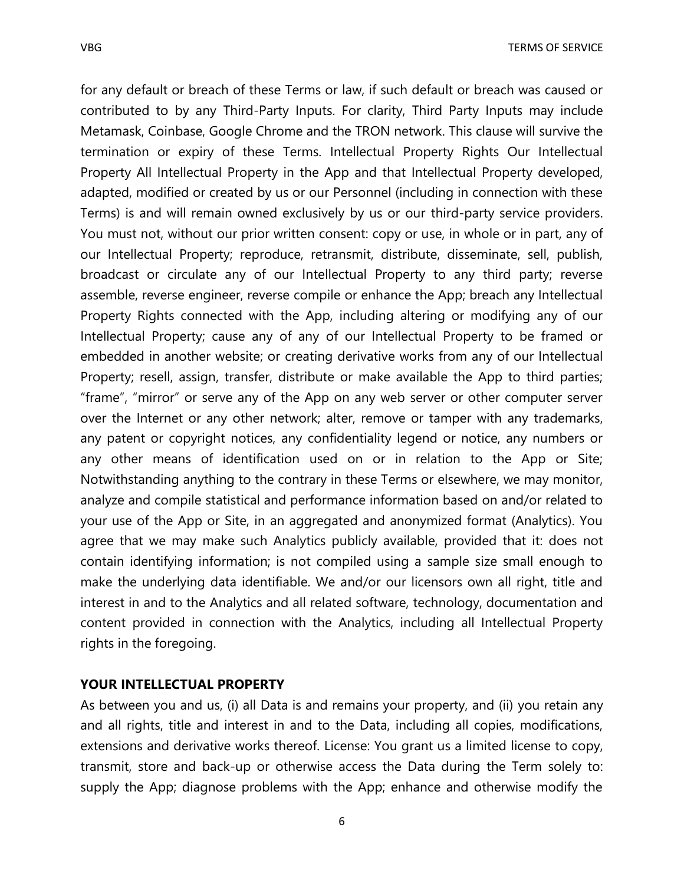for any default or breach of these Terms or law, if such default or breach was caused or contributed to by any Third-Party Inputs. For clarity, Third Party Inputs may include Metamask, Coinbase, Google Chrome and the TRON network. This clause will survive the termination or expiry of these Terms. Intellectual Property Rights Our Intellectual Property All Intellectual Property in the App and that Intellectual Property developed, adapted, modified or created by us or our Personnel (including in connection with these Terms) is and will remain owned exclusively by us or our third-party service providers. You must not, without our prior written consent: copy or use, in whole or in part, any of our Intellectual Property; reproduce, retransmit, distribute, disseminate, sell, publish, broadcast or circulate any of our Intellectual Property to any third party; reverse assemble, reverse engineer, reverse compile or enhance the App; breach any Intellectual Property Rights connected with the App, including altering or modifying any of our Intellectual Property; cause any of any of our Intellectual Property to be framed or embedded in another website; or creating derivative works from any of our Intellectual Property; resell, assign, transfer, distribute or make available the App to third parties; "frame", "mirror" or serve any of the App on any web server or other computer server over the Internet or any other network; alter, remove or tamper with any trademarks, any patent or copyright notices, any confidentiality legend or notice, any numbers or any other means of identification used on or in relation to the App or Site; Notwithstanding anything to the contrary in these Terms or elsewhere, we may monitor, analyze and compile statistical and performance information based on and/or related to your use of the App or Site, in an aggregated and anonymized format (Analytics). You agree that we may make such Analytics publicly available, provided that it: does not contain identifying information; is not compiled using a sample size small enough to make the underlying data identifiable. We and/or our licensors own all right, title and interest in and to the Analytics and all related software, technology, documentation and content provided in connection with the Analytics, including all Intellectual Property rights in the foregoing.

# **YOUR INTELLECTUAL PROPERTY**

As between you and us, (i) all Data is and remains your property, and (ii) you retain any and all rights, title and interest in and to the Data, including all copies, modifications, extensions and derivative works thereof. License: You grant us a limited license to copy, transmit, store and back-up or otherwise access the Data during the Term solely to: supply the App; diagnose problems with the App; enhance and otherwise modify the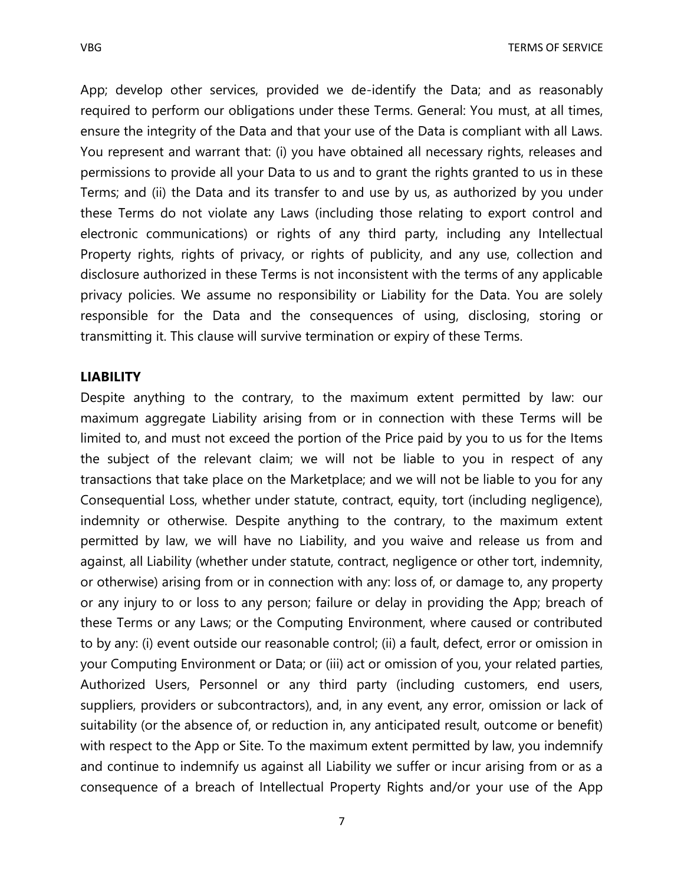App; develop other services, provided we de-identify the Data; and as reasonably required to perform our obligations under these Terms. General: You must, at all times, ensure the integrity of the Data and that your use of the Data is compliant with all Laws. You represent and warrant that: (i) you have obtained all necessary rights, releases and permissions to provide all your Data to us and to grant the rights granted to us in these Terms; and (ii) the Data and its transfer to and use by us, as authorized by you under these Terms do not violate any Laws (including those relating to export control and electronic communications) or rights of any third party, including any Intellectual Property rights, rights of privacy, or rights of publicity, and any use, collection and disclosure authorized in these Terms is not inconsistent with the terms of any applicable privacy policies. We assume no responsibility or Liability for the Data. You are solely responsible for the Data and the consequences of using, disclosing, storing or transmitting it. This clause will survive termination or expiry of these Terms.

#### **LIABILITY**

Despite anything to the contrary, to the maximum extent permitted by law: our maximum aggregate Liability arising from or in connection with these Terms will be limited to, and must not exceed the portion of the Price paid by you to us for the Items the subject of the relevant claim; we will not be liable to you in respect of any transactions that take place on the Marketplace; and we will not be liable to you for any Consequential Loss, whether under statute, contract, equity, tort (including negligence), indemnity or otherwise. Despite anything to the contrary, to the maximum extent permitted by law, we will have no Liability, and you waive and release us from and against, all Liability (whether under statute, contract, negligence or other tort, indemnity, or otherwise) arising from or in connection with any: loss of, or damage to, any property or any injury to or loss to any person; failure or delay in providing the App; breach of these Terms or any Laws; or the Computing Environment, where caused or contributed to by any: (i) event outside our reasonable control; (ii) a fault, defect, error or omission in your Computing Environment or Data; or (iii) act or omission of you, your related parties, Authorized Users, Personnel or any third party (including customers, end users, suppliers, providers or subcontractors), and, in any event, any error, omission or lack of suitability (or the absence of, or reduction in, any anticipated result, outcome or benefit) with respect to the App or Site. To the maximum extent permitted by law, you indemnify and continue to indemnify us against all Liability we suffer or incur arising from or as a consequence of a breach of Intellectual Property Rights and/or your use of the App

7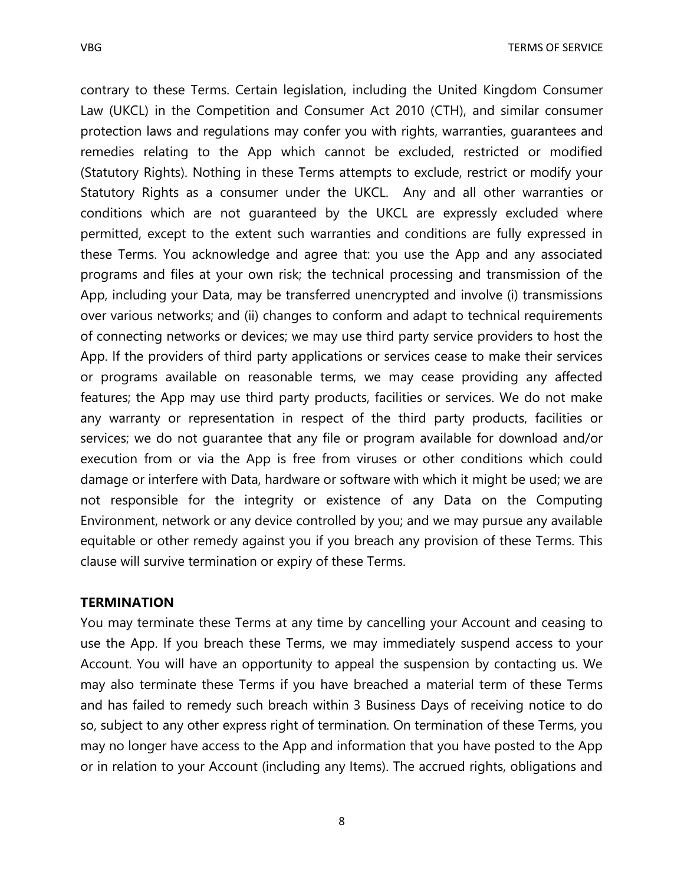contrary to these Terms. Certain legislation, including the United Kingdom Consumer Law (UKCL) in the Competition and Consumer Act 2010 (CTH), and similar consumer protection laws and regulations may confer you with rights, warranties, guarantees and remedies relating to the App which cannot be excluded, restricted or modified (Statutory Rights). Nothing in these Terms attempts to exclude, restrict or modify your Statutory Rights as a consumer under the UKCL. Any and all other warranties or conditions which are not guaranteed by the UKCL are expressly excluded where permitted, except to the extent such warranties and conditions are fully expressed in these Terms. You acknowledge and agree that: you use the App and any associated programs and files at your own risk; the technical processing and transmission of the App, including your Data, may be transferred unencrypted and involve (i) transmissions over various networks; and (ii) changes to conform and adapt to technical requirements of connecting networks or devices; we may use third party service providers to host the App. If the providers of third party applications or services cease to make their services or programs available on reasonable terms, we may cease providing any affected features; the App may use third party products, facilities or services. We do not make any warranty or representation in respect of the third party products, facilities or services; we do not guarantee that any file or program available for download and/or execution from or via the App is free from viruses or other conditions which could damage or interfere with Data, hardware or software with which it might be used; we are not responsible for the integrity or existence of any Data on the Computing Environment, network or any device controlled by you; and we may pursue any available equitable or other remedy against you if you breach any provision of these Terms. This clause will survive termination or expiry of these Terms.

## **TERMINATION**

You may terminate these Terms at any time by cancelling your Account and ceasing to use the App. If you breach these Terms, we may immediately suspend access to your Account. You will have an opportunity to appeal the suspension by contacting us. We may also terminate these Terms if you have breached a material term of these Terms and has failed to remedy such breach within 3 Business Days of receiving notice to do so, subject to any other express right of termination. On termination of these Terms, you may no longer have access to the App and information that you have posted to the App or in relation to your Account (including any Items). The accrued rights, obligations and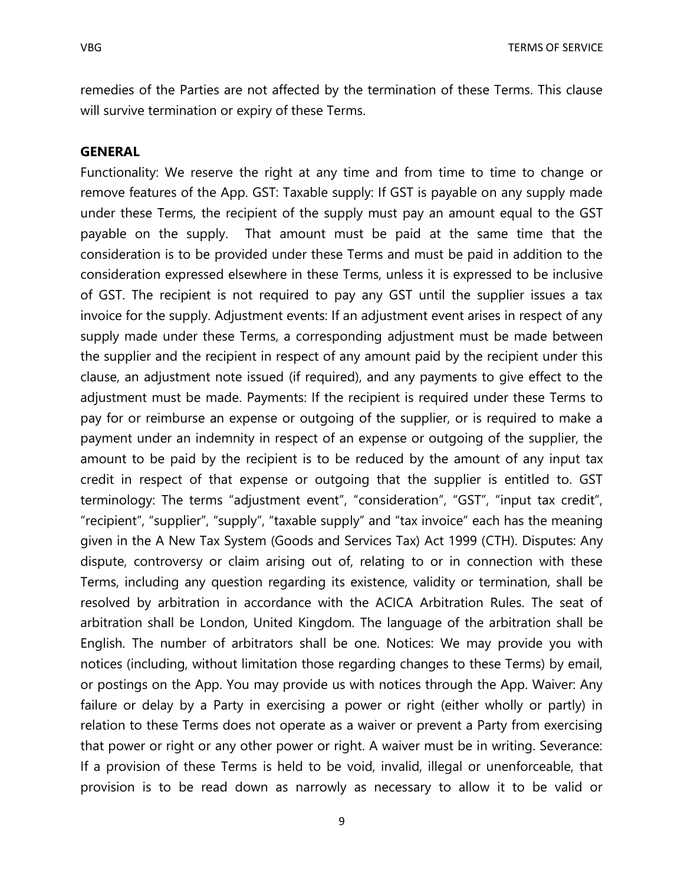remedies of the Parties are not affected by the termination of these Terms. This clause will survive termination or expiry of these Terms.

#### **GENERAL**

Functionality: We reserve the right at any time and from time to time to change or remove features of the App. GST: Taxable supply: If GST is payable on any supply made under these Terms, the recipient of the supply must pay an amount equal to the GST payable on the supply. That amount must be paid at the same time that the consideration is to be provided under these Terms and must be paid in addition to the consideration expressed elsewhere in these Terms, unless it is expressed to be inclusive of GST. The recipient is not required to pay any GST until the supplier issues a tax invoice for the supply. Adjustment events: If an adjustment event arises in respect of any supply made under these Terms, a corresponding adjustment must be made between the supplier and the recipient in respect of any amount paid by the recipient under this clause, an adjustment note issued (if required), and any payments to give effect to the adjustment must be made. Payments: If the recipient is required under these Terms to pay for or reimburse an expense or outgoing of the supplier, or is required to make a payment under an indemnity in respect of an expense or outgoing of the supplier, the amount to be paid by the recipient is to be reduced by the amount of any input tax credit in respect of that expense or outgoing that the supplier is entitled to. GST terminology: The terms "adjustment event", "consideration", "GST", "input tax credit", "recipient", "supplier", "supply", "taxable supply" and "tax invoice" each has the meaning given in the A New Tax System (Goods and Services Tax) Act 1999 (CTH). Disputes: Any dispute, controversy or claim arising out of, relating to or in connection with these Terms, including any question regarding its existence, validity or termination, shall be resolved by arbitration in accordance with the ACICA Arbitration Rules. The seat of arbitration shall be London, United Kingdom. The language of the arbitration shall be English. The number of arbitrators shall be one. Notices: We may provide you with notices (including, without limitation those regarding changes to these Terms) by email, or postings on the App. You may provide us with notices through the App. Waiver: Any failure or delay by a Party in exercising a power or right (either wholly or partly) in relation to these Terms does not operate as a waiver or prevent a Party from exercising that power or right or any other power or right. A waiver must be in writing. Severance: If a provision of these Terms is held to be void, invalid, illegal or unenforceable, that provision is to be read down as narrowly as necessary to allow it to be valid or

9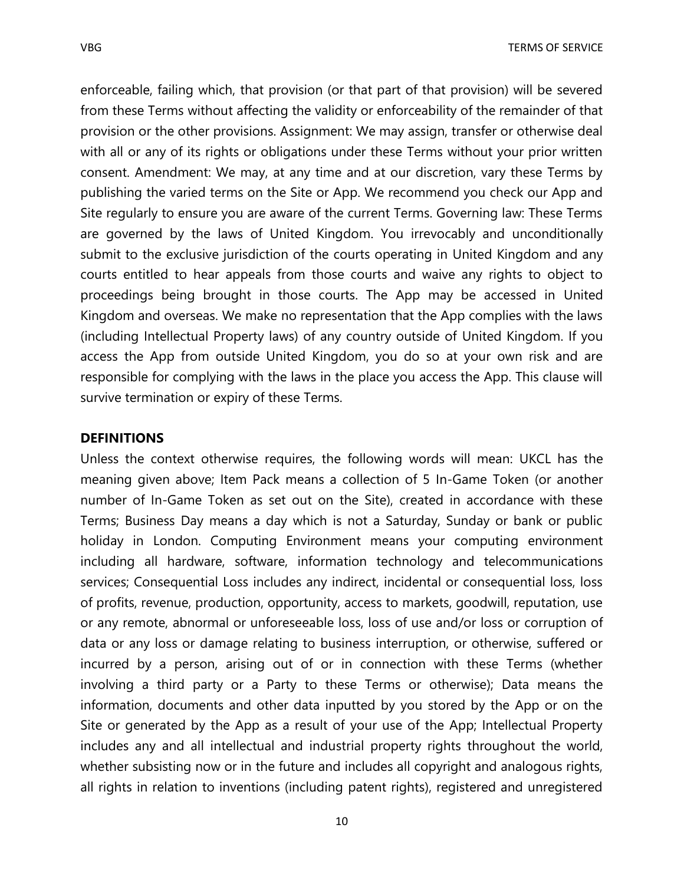enforceable, failing which, that provision (or that part of that provision) will be severed from these Terms without affecting the validity or enforceability of the remainder of that provision or the other provisions. Assignment: We may assign, transfer or otherwise deal with all or any of its rights or obligations under these Terms without your prior written consent. Amendment: We may, at any time and at our discretion, vary these Terms by publishing the varied terms on the Site or App. We recommend you check our App and Site regularly to ensure you are aware of the current Terms. Governing law: These Terms are governed by the laws of United Kingdom. You irrevocably and unconditionally submit to the exclusive jurisdiction of the courts operating in United Kingdom and any courts entitled to hear appeals from those courts and waive any rights to object to proceedings being brought in those courts. The App may be accessed in United Kingdom and overseas. We make no representation that the App complies with the laws (including Intellectual Property laws) of any country outside of United Kingdom. If you access the App from outside United Kingdom, you do so at your own risk and are responsible for complying with the laws in the place you access the App. This clause will survive termination or expiry of these Terms.

## **DEFINITIONS**

Unless the context otherwise requires, the following words will mean: UKCL has the meaning given above; Item Pack means a collection of 5 In-Game Token (or another number of In-Game Token as set out on the Site), created in accordance with these Terms; Business Day means a day which is not a Saturday, Sunday or bank or public holiday in London. Computing Environment means your computing environment including all hardware, software, information technology and telecommunications services; Consequential Loss includes any indirect, incidental or consequential loss, loss of profits, revenue, production, opportunity, access to markets, goodwill, reputation, use or any remote, abnormal or unforeseeable loss, loss of use and/or loss or corruption of data or any loss or damage relating to business interruption, or otherwise, suffered or incurred by a person, arising out of or in connection with these Terms (whether involving a third party or a Party to these Terms or otherwise); Data means the information, documents and other data inputted by you stored by the App or on the Site or generated by the App as a result of your use of the App; Intellectual Property includes any and all intellectual and industrial property rights throughout the world, whether subsisting now or in the future and includes all copyright and analogous rights, all rights in relation to inventions (including patent rights), registered and unregistered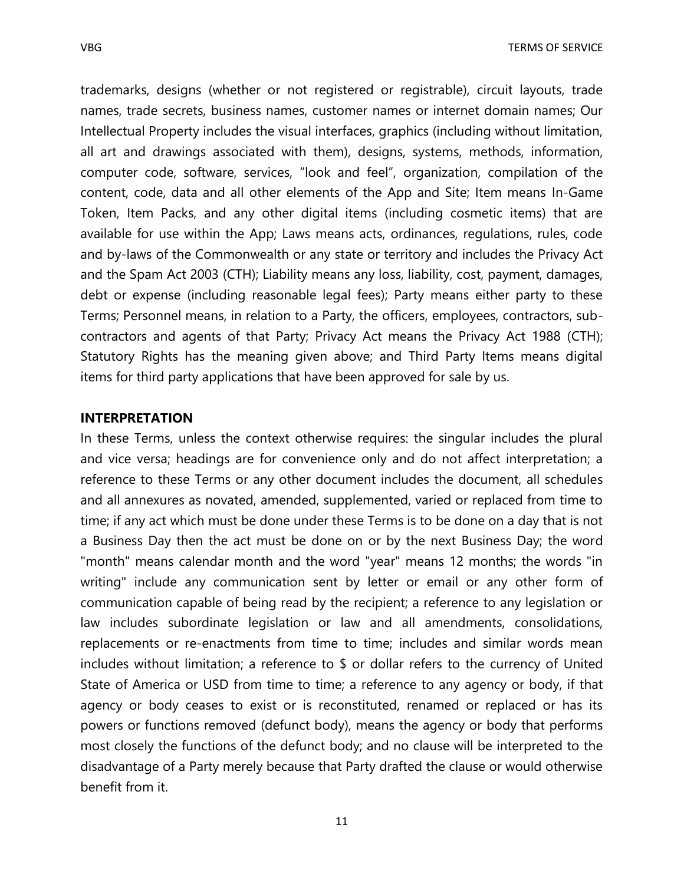trademarks, designs (whether or not registered or registrable), circuit layouts, trade names, trade secrets, business names, customer names or internet domain names; Our Intellectual Property includes the visual interfaces, graphics (including without limitation, all art and drawings associated with them), designs, systems, methods, information, computer code, software, services, "look and feel", organization, compilation of the content, code, data and all other elements of the App and Site; Item means In-Game Token, Item Packs, and any other digital items (including cosmetic items) that are available for use within the App; Laws means acts, ordinances, regulations, rules, code and by-laws of the Commonwealth or any state or territory and includes the Privacy Act and the Spam Act 2003 (CTH); Liability means any loss, liability, cost, payment, damages, debt or expense (including reasonable legal fees); Party means either party to these Terms; Personnel means, in relation to a Party, the officers, employees, contractors, subcontractors and agents of that Party; Privacy Act means the Privacy Act 1988 (CTH); Statutory Rights has the meaning given above; and Third Party Items means digital items for third party applications that have been approved for sale by us.

## **INTERPRETATION**

In these Terms, unless the context otherwise requires: the singular includes the plural and vice versa; headings are for convenience only and do not affect interpretation; a reference to these Terms or any other document includes the document, all schedules and all annexures as novated, amended, supplemented, varied or replaced from time to time; if any act which must be done under these Terms is to be done on a day that is not a Business Day then the act must be done on or by the next Business Day; the word "month" means calendar month and the word "year" means 12 months; the words "in writing" include any communication sent by letter or email or any other form of communication capable of being read by the recipient; a reference to any legislation or law includes subordinate legislation or law and all amendments, consolidations, replacements or re-enactments from time to time; includes and similar words mean includes without limitation; a reference to \$ or dollar refers to the currency of United State of America or USD from time to time; a reference to any agency or body, if that agency or body ceases to exist or is reconstituted, renamed or replaced or has its powers or functions removed (defunct body), means the agency or body that performs most closely the functions of the defunct body; and no clause will be interpreted to the disadvantage of a Party merely because that Party drafted the clause or would otherwise benefit from it.